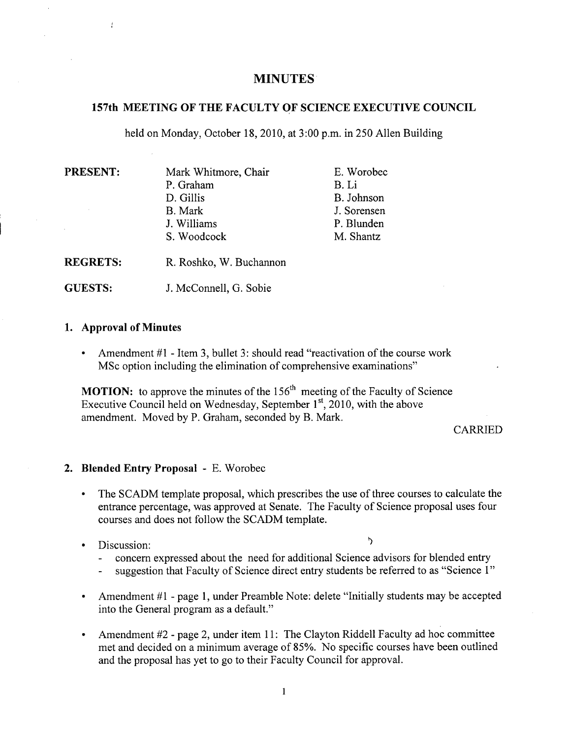# **MINUTES**

#### **157th MEETING OF THE FACULTY OF SCIENCE EXECUTIVE COUNCIL**

held on Monday, October 18, 2010, at 3:00 p.m. in *250* Allen Building

| <b>PRESENT:</b> | Mark Whitmore, Chair                                    | E. Worobec  |
|-----------------|---------------------------------------------------------|-------------|
|                 | P. Graham                                               | B. Li       |
|                 | D. Gillis                                               | B. Johnson  |
|                 | <b>B.</b> Mark                                          | J. Sorensen |
|                 | J. Williams                                             | P. Blunden  |
|                 | S. Woodcock                                             | M. Shantz   |
|                 | $\cdots$ $\cdots$ $\cdots$<br>$\mathbf{r}$ $\mathbf{r}$ |             |

**REGRETS:** R. Roshko, W. Buchannon

**GUESTS:** J. McConnell, G. Sobie

#### **1. Approval of Minutes**

Amendment #1 - Item 3, bullet 3: should read "reactivation of the course work  $\bullet$ MSc option including the elimination of comprehensive examinations"

**MOTION:** to approve the minutes of the 156<sup>th</sup> meeting of the Faculty of Science Executive Council held on Wednesday, September  $1<sup>st</sup>$ , 2010, with the above amendment. Moved by P. Graham, seconded by B. Mark.

CARRIED

## 2. **Blended Entry Proposal** - E. Worobec

- The SCADM template proposal, which prescribes the use of three courses to calculate the  $\bullet$ entrance percentage, was approved at Senate. The Faculty of Science proposal uses four courses and does not follow the SCADM template.
- Discussion:

- concern expressed about the need for additional Science advisors for blended entry
- suggestion that Faculty of Science direct entry students be referred to as "Science 1"
- Amendment #1 page 1, under Preamble Note: delete "Initially students may be accepted into the General program as a default."
- Amendment #2 page 2, under item 11: The Clayton Riddell Faculty ad hoc committee met and decided on a minimum average of 85%. No specific courses have been outlined and the proposal has yet to go to their Faculty Council for approval.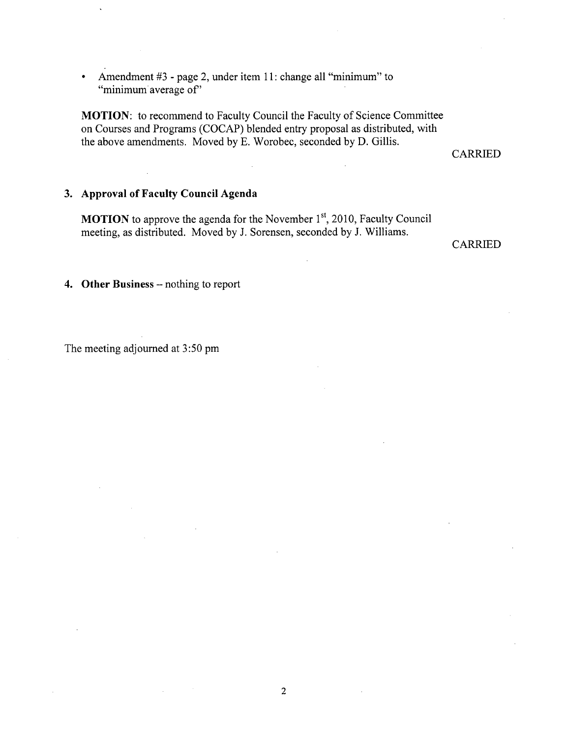Amendment #3 - page 2, under item 11: change all "minimum" to  $\bullet$ "minimum average of"

**MOTION:** to recommend to Faculty Council the Faculty of Science Committee on Courses and Programs (COCAP) blended entry proposal as distributed, with the above amendments. Moved by E. Worobec, seconded by D. Gillis.

CARRIED

## **3. Approval of Faculty Council Agenda**

**MOTION** to approve the agenda for the November 1<sup>st</sup>, 2010, Faculty Council meeting, as distributed. Moved by J. Sorensen, seconded by J. Williams.

CARRIED

**4. Other Business** - nothing to report

The meeting adjourned at *3:50* pm